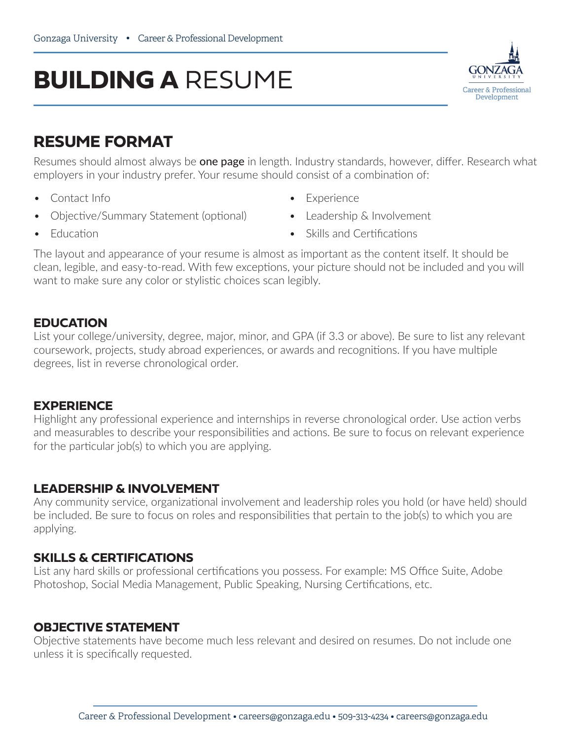# **BUILDING A** RESUME



## **RESUME FORMAT**

Resumes should almost always be **one page** in length. Industry standards, however, differ. Research what employers in your industry prefer. Your resume should consist of a combination of:

• Contact Info

• **Education** 

- Objective/Summary Statement (optional)
- Experience
- Leadership & Involvement
- Skills and Certifications

The layout and appearance of your resume is almost as important as the content itself. It should be clean, legible, and easy-to-read. With few exceptions, your picture should not be included and you will want to make sure any color or stylistic choices scan legibly.

#### **EDUCATION**

List your college/university, degree, major, minor, and GPA (if 3.3 or above). Be sure to list any relevant coursework, projects, study abroad experiences, or awards and recognitions. If you have multiple degrees, list in reverse chronological order.

### **EXPERIENCE**

Highlight any professional experience and internships in reverse chronological order. Use action verbs and measurables to describe your responsibilities and actions. Be sure to focus on relevant experience for the particular job(s) to which you are applying.

### **LEADERSHIP & INVOLVEMENT**

Any community service, organizational involvement and leadership roles you hold (or have held) should be included. Be sure to focus on roles and responsibilities that pertain to the job(s) to which you are applying.

### **SKILLS & CERTIFICATIONS**

List any hard skills or professional certifications you possess. For example: MS Office Suite, Adobe Photoshop, Social Media Management, Public Speaking, Nursing Certifications, etc.

### **OBJECTIVE STATEMENT**

Objective statements have become much less relevant and desired on resumes. Do not include one unless it is specifically requested.